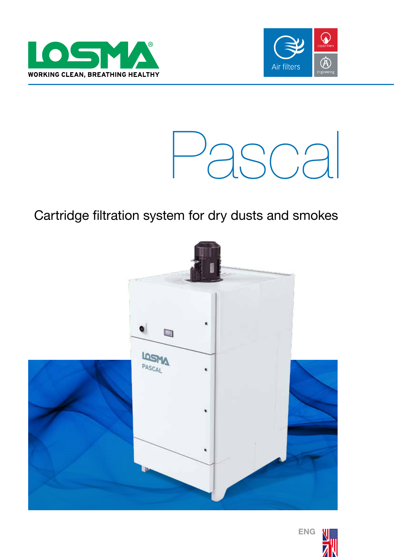





## Cartridge filtration system for dry dusts and smokes





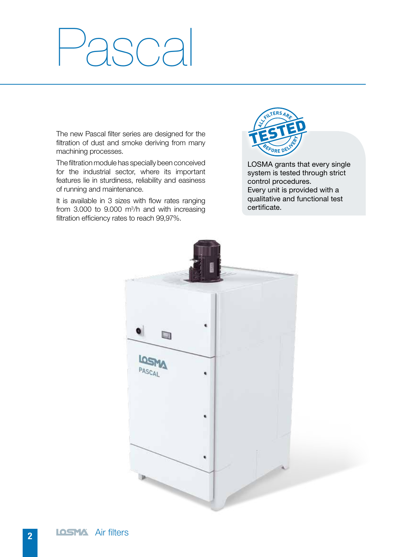# $\bigcup_{i=1}^{n}$

The new Pascal filter series are designed for the filtration of dust and smoke deriving from many machining processes.

The filtration module has specially been conceived for the industrial sector, where its important features lie in sturdiness, reliability and easiness of running and maintenance.

It is available in 3 sizes with flow rates ranging from  $3.000$  to  $9.000$  m<sup>3</sup>/h and with increasing filtration efficiency rates to reach 99,97%.



LOSMA grants that every single system is tested through strict control procedures. Every unit is provided with a qualitative and functional test certificate.

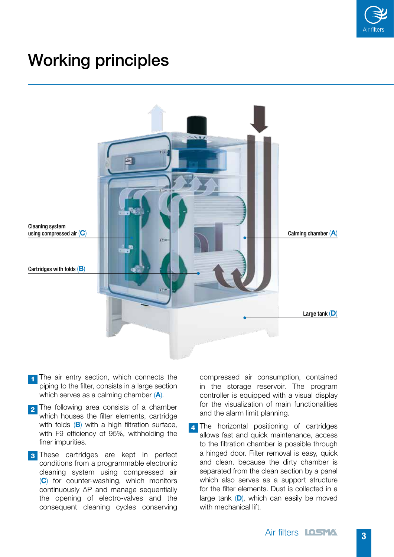

## Working principles



- The air entry section, which connects the piping to the filter, consists in a large section which serves as a calming chamber (A). 1
- 2 The following area consists of a chamber which houses the filter elements, cartridge with folds  $(B)$  with a high filtration surface. with F9 efficiency of 95%, withholding the finer impurities.
- 3 These cartridges are kept in perfect conditions from a programmable electronic cleaning system using compressed air (C) for counter-washing, which monitors continuously ΔP and manage sequentially the opening of electro-valves and the consequent cleaning cycles conserving

compressed air consumption, contained in the storage reservoir. The program controller is equipped with a visual display for the visualization of main functionalities and the alarm limit planning.

4 The horizontal positioning of cartridges allows fast and quick maintenance, access to the filtration chamber is possible through a hinged door. Filter removal is easy, quick and clean, because the dirty chamber is separated from the clean section by a panel which also serves as a support structure for the filter elements. Dust is collected in a large tank  $(D)$ , which can easily be moved with mechanical lift.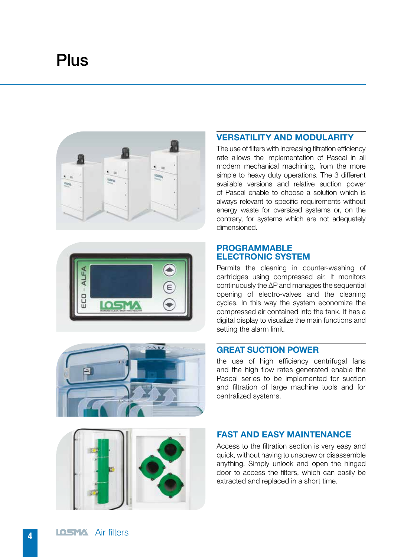# **Plus**





The use of filters with increasing filtration efficiency rate allows the implementation of Pascal in all modern mechanical machining, from the more simple to heavy duty operations. The 3 different available versions and relative suction power of Pascal enable to choose a solution which is always relevant to specific requirements without energy waste for oversized systems or, on the contrary, for systems which are not adequately dimensioned.





#### PROGRAMMABLE ELECTRONIC SYSTEM

Permits the cleaning in counter-washing of cartridges using compressed air. It monitors continuously the ΔP and manages the sequential opening of electro-valves and the cleaning cycles. In this way the system economize the compressed air contained into the tank. It has a digital display to visualize the main functions and setting the alarm limit.

#### GREAT SUCTION POWER

the use of high efficiency centrifugal fans and the high flow rates generated enable the Pascal series to be implemented for suction and filtration of large machine tools and for centralized systems.



## FAST AND EASY MAINTENANCE

Access to the filtration section is very easy and quick, without having to unscrew or disassemble anything. Simply unlock and open the hinged door to access the filters, which can easily be extracted and replaced in a short time.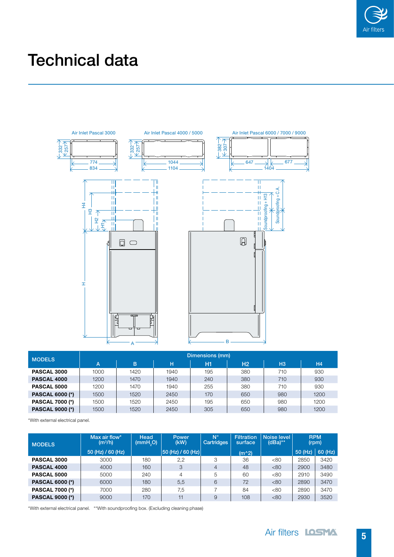

# Technical data



| <b>MODELS</b>          | Dimensions (mm) |      |      |                |                |                |                |  |  |
|------------------------|-----------------|------|------|----------------|----------------|----------------|----------------|--|--|
|                        | A               | B    | н    | H <sub>1</sub> | H <sub>2</sub> | H <sub>3</sub> | H <sub>4</sub> |  |  |
| PASCAL 3000            | 1000            | 1420 | 1940 | 195            | 380            | 710            | 930            |  |  |
| PASCAL 4000            | 1200            | 1470 | 1940 | 240            | 380            | 710            | 930            |  |  |
| <b>PASCAL 5000</b>     | 1200            | 1470 | 1940 | 255            | 380            | 710            | 930            |  |  |
| <b>PASCAL 6000 (*)</b> | 1500            | 1520 | 2450 | 170            | 650            | 980            | 1200           |  |  |
| <b>PASCAL 7000 (*)</b> | 1500            | 1520 | 2450 | 195            | 650            | 980            | 1200           |  |  |
| <b>PASCAL 9000 (*)</b> | 1500            | 1520 | 2450 | 305            | 650            | 980            | 1200           |  |  |

\*With external electrical panel.

| <b>MODELS</b>          | Max air flow*<br>(m <sup>3</sup> /h) | Head<br>(mmH <sub>0</sub> ) | <b>Power</b><br>(kW) | $N^{\circ}$<br>Cartridges | <b>Filtration</b><br>surface | Noise level<br>$(dBa)$ ** | (rpm)   | <b>RPM</b> |
|------------------------|--------------------------------------|-----------------------------|----------------------|---------------------------|------------------------------|---------------------------|---------|------------|
|                        | $50$ (Hz) / 60 (Hz)                  |                             | 50 (Hz) / 60 (Hz)    |                           | $(m^2)$                      |                           | 50 (Hz) | $60$ (Hz)  |
| <b>PASCAL 3000</b>     | 3000                                 | 180                         | 2,2                  | 3                         | 36                           | <80                       | 2850    | 3420       |
| PASCAL 4000            | 4000                                 | 160                         | 3                    | 4                         | 48                           | <80                       | 2900    | 3480       |
| <b>PASCAL 5000</b>     | 5000                                 | 240                         | 4                    | 5                         | 60                           | <80                       | 2910    | 3490       |
| <b>PASCAL 6000 (*)</b> | 6000                                 | 180                         | 5,5                  | 6                         | 72                           | <80                       | 2890    | 3470       |
| <b>PASCAL 7000 (*)</b> | 7000                                 | 280                         | 7,5                  |                           | 84                           | <80                       | 2890    | 3470       |
| <b>PASCAL 9000 (*)</b> | 9000                                 | 170                         | 11                   | 9                         | 108                          | < 80                      | 2930    | 3520       |

\*With external electrical panel. \*\*With soundproofing box. (Excluding cleaning phase)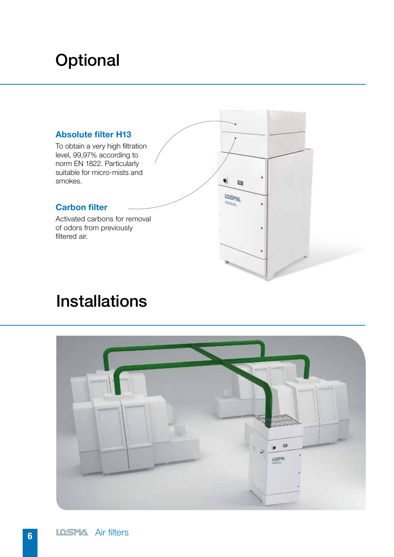# **Optional**

### Absolute filter H13

To obtain a very high filtration level, 99,97% according to norm EN 1822. Particularly suitable for micro-mists and smokes.

## Carbon filter

Activated carbons for removal of odors from previously filtered air.



## Installations

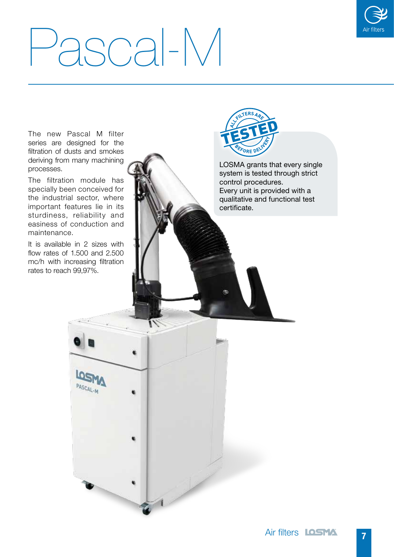

# Pascal-M

The new Pascal M filter

series are designed for the filtration of dusts and smokes **FORE DE** deriving from many machining processes. The filtration module has specially been conceived for the industrial sector, where important features lie in its certificate.sturdiness, reliability and easiness of conduction and maintenance. It is available in 2 sizes with flow rates of 1.500 and 2.500 mc/h with increasing filtration rates to reach 99,97%. PASCAL-M



LOSMA grants that every single system is tested through strict control procedures. Every unit is provided with a qualitative and functional test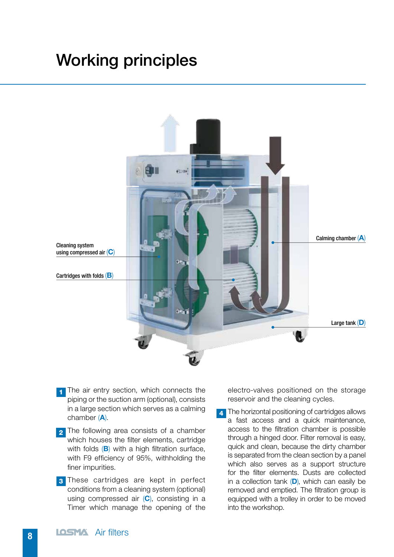## Working principles



- 1 The air entry section, which connects the piping or the suction arm (optional), consists in a large section which serves as a calming chamber (A).
- 2 The following area consists of a chamber which houses the filter elements, cartridge with folds  $(B)$  with a high filtration surface, with F9 efficiency of 95%, withholding the finer impurities.
- 3 These cartridges are kept in perfect conditions from a cleaning system (optional) using compressed air  $(C)$ , consisting in a Timer which manage the opening of the

electro-valves positioned on the storage reservoir and the cleaning cycles.

**4** The horizontal positioning of cartridges allows a fast access and a quick maintenance, access to the filtration chamber is possible through a hinged door. Filter removal is easy, quick and clean, because the dirty chamber is separated from the clean section by a panel which also serves as a support structure for the filter elements. Dusts are collected in a collection tank  $(D)$ , which can easily be removed and emptied. The filtration group is equipped with a trolley in order to be moved into the workshop.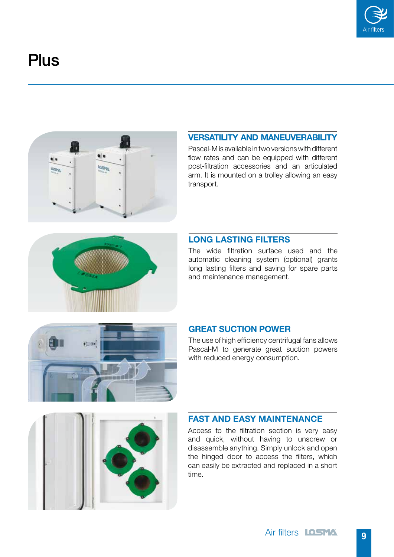

## **Plus**



## VERSATILITY AND MANEUVERABILITY

Pascal-M is available in two versions with different flow rates and can be equipped with different post-filtration accessories and an articulated arm. It is mounted on a trolley allowing an easy transport.



### LONG LASTING FILTERS

The wide filtration surface used and the automatic cleaning system (optional) grants long lasting filters and saving for spare parts and maintenance management.



#### GREAT SUCTION POWER

The use of high efficiency centrifugal fans allows Pascal-M to generate great suction powers with reduced energy consumption.



#### FAST AND EASY MAINTENANCE

Access to the filtration section is very easy and quick, without having to unscrew or disassemble anything. Simply unlock and open the hinged door to access the filters, which can easily be extracted and replaced in a short time.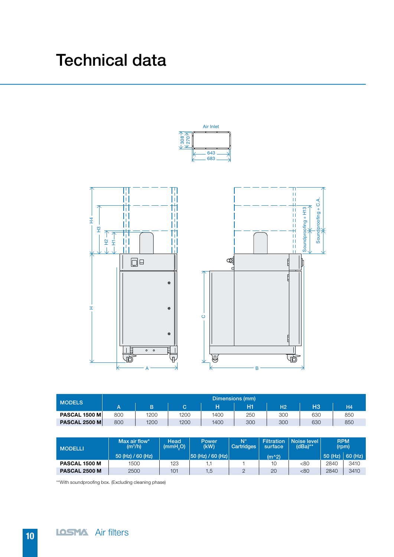## Technical data



| <b>MODELS</b>        | Dimensions (mm) |      |      |      |     |                |                |           |  |  |
|----------------------|-----------------|------|------|------|-----|----------------|----------------|-----------|--|--|
|                      |                 | B    | C.   |      | H1  | H <sub>2</sub> | H <sub>3</sub> | <b>H4</b> |  |  |
| <b>PASCAL 1500 M</b> | 800             | 1200 | 1200 | 1400 | 250 | 300            | 630            | 850       |  |  |
| <b>PASCAL 2500 M</b> | 800             | 1200 | 1200 | 1400 | 300 | 300            | 630            | 850       |  |  |

| <b>MODELLI</b> | Max air flow*<br>(m <sup>3</sup> /h) | Head<br>(mmH <sub>0</sub> ) | Power<br>(kW)        | $N^{\circ}$<br>Cartridges | Filtration<br>surface | Noise level  <br>(dBa)** | <b>RPM</b><br>(rpm) |                     |
|----------------|--------------------------------------|-----------------------------|----------------------|---------------------------|-----------------------|--------------------------|---------------------|---------------------|
|                | 50 (Hz) / 60 (Hz)                    |                             | $ 50$ (Hz) / 60 (Hz) |                           | $(m^2)$               |                          |                     | $50$ (Hz) $60$ (Hz) |
| PASCAL 1500 M  | 1500                                 | 123                         |                      |                           | 10                    | <80                      | <b>2840</b>         | 3410                |
| PASCAL 2500 M  | 2500                                 | 101                         | d, i                 |                           | 20                    | <80                      | 2840                | 3410                |

\*\*With soundproofing box. (Excluding cleaning phase)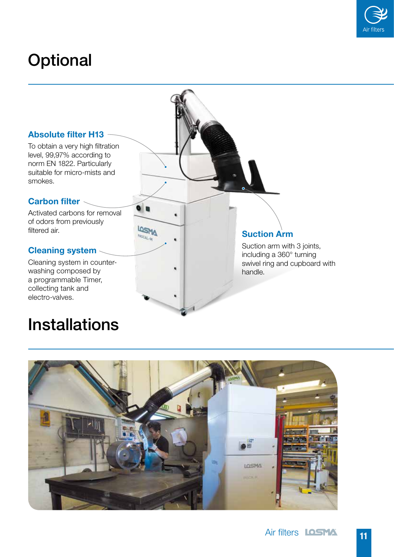

# **Optional**